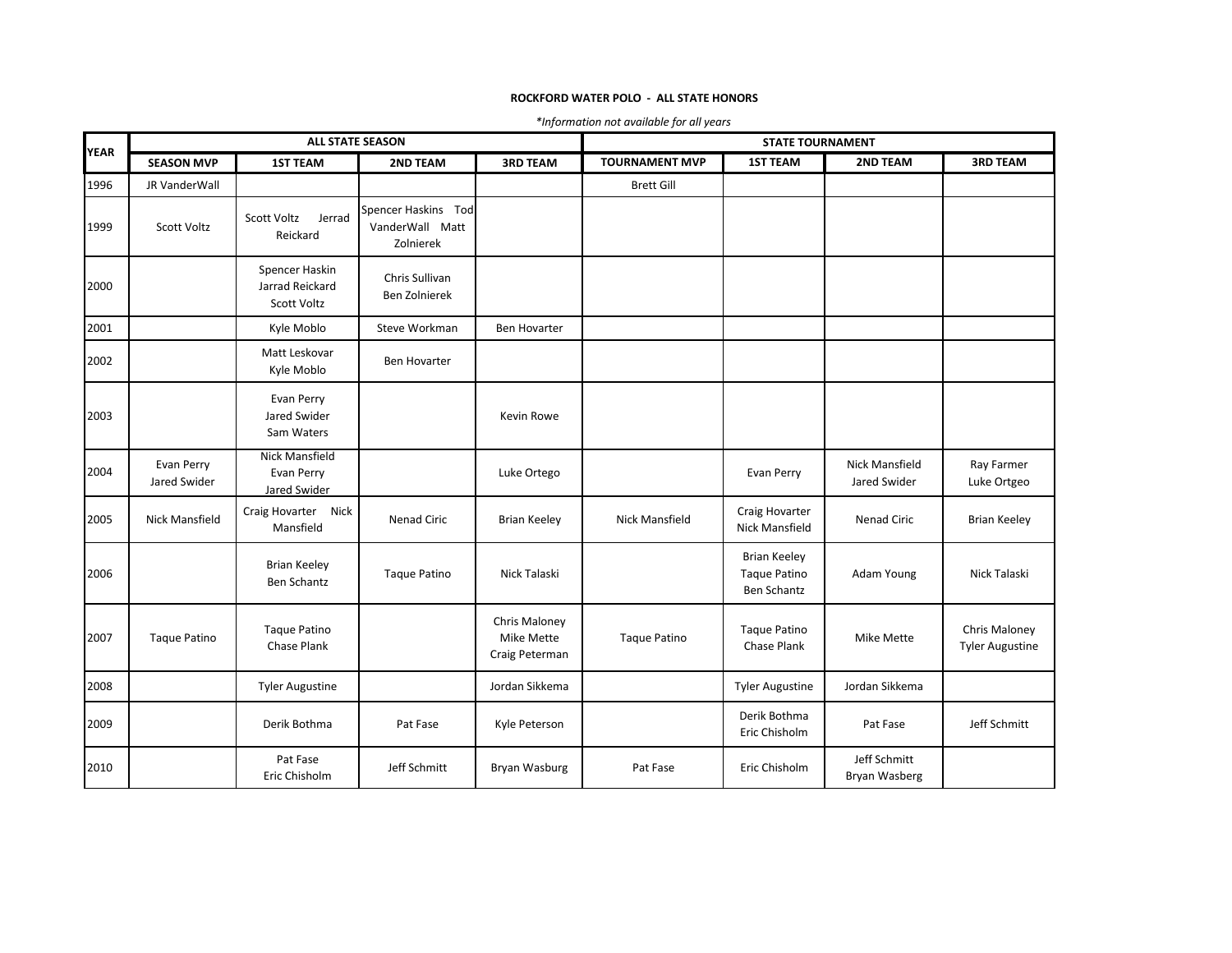## **ROCKFORD WATER POLO - ALL STATE HONORS**

| *Information not available for all years |  |  |  |
|------------------------------------------|--|--|--|
|------------------------------------------|--|--|--|

|             | <b>ALL STATE SEASON</b>    |                                                         |                                                     | <b>STATE TOURNAMENT</b>                       |                       |                                                           |                                       |                                         |
|-------------|----------------------------|---------------------------------------------------------|-----------------------------------------------------|-----------------------------------------------|-----------------------|-----------------------------------------------------------|---------------------------------------|-----------------------------------------|
| <b>YEAR</b> | <b>SEASON MVP</b>          | <b>1ST TEAM</b>                                         | <b>2ND TEAM</b>                                     | <b>3RD TEAM</b>                               | <b>TOURNAMENT MVP</b> | <b>1ST TEAM</b>                                           | <b>2ND TEAM</b>                       | <b>3RD TEAM</b>                         |
| 1996        | JR VanderWall              |                                                         |                                                     |                                               | <b>Brett Gill</b>     |                                                           |                                       |                                         |
| 1999        | Scott Voltz                | <b>Scott Voltz</b><br>Jerrad<br>Reickard                | Spencer Haskins Tod<br>VanderWall Matt<br>Zolnierek |                                               |                       |                                                           |                                       |                                         |
| 2000        |                            | Spencer Haskin<br>Jarrad Reickard<br><b>Scott Voltz</b> | Chris Sullivan<br>Ben Zolnierek                     |                                               |                       |                                                           |                                       |                                         |
| 2001        |                            | Kyle Moblo                                              | Steve Workman                                       | <b>Ben Hovarter</b>                           |                       |                                                           |                                       |                                         |
| 2002        |                            | Matt Leskovar<br>Kyle Moblo                             | <b>Ben Hovarter</b>                                 |                                               |                       |                                                           |                                       |                                         |
| 2003        |                            | Evan Perry<br>Jared Swider<br>Sam Waters                |                                                     | Kevin Rowe                                    |                       |                                                           |                                       |                                         |
| 2004        | Evan Perry<br>Jared Swider | Nick Mansfield<br>Evan Perry<br>Jared Swider            |                                                     | Luke Ortego                                   |                       | Evan Perry                                                | <b>Nick Mansfield</b><br>Jared Swider | Ray Farmer<br>Luke Ortgeo               |
| 2005        | <b>Nick Mansfield</b>      | Craig Hovarter Nick<br>Mansfield                        | <b>Nenad Ciric</b>                                  | <b>Brian Keeley</b>                           | <b>Nick Mansfield</b> | Craig Hovarter<br>Nick Mansfield                          | Nenad Ciric                           | <b>Brian Keeley</b>                     |
| 2006        |                            | <b>Brian Keeley</b><br><b>Ben Schantz</b>               | <b>Taque Patino</b>                                 | Nick Talaski                                  |                       | <b>Brian Keeley</b><br><b>Taque Patino</b><br>Ben Schantz | Adam Young                            | Nick Talaski                            |
| 2007        | Taque Patino               | <b>Taque Patino</b><br>Chase Plank                      |                                                     | Chris Maloney<br>Mike Mette<br>Craig Peterman | <b>Taque Patino</b>   | <b>Taque Patino</b><br>Chase Plank                        | Mike Mette                            | Chris Maloney<br><b>Tyler Augustine</b> |
| 2008        |                            | <b>Tyler Augustine</b>                                  |                                                     | Jordan Sikkema                                |                       | <b>Tyler Augustine</b>                                    | Jordan Sikkema                        |                                         |
| 2009        |                            | Derik Bothma                                            | Pat Fase                                            | Kyle Peterson                                 |                       | Derik Bothma<br>Eric Chisholm                             | Pat Fase                              | Jeff Schmitt                            |
| 2010        |                            | Pat Fase<br>Eric Chisholm                               | Jeff Schmitt                                        | Bryan Wasburg                                 | Pat Fase              | Eric Chisholm                                             | Jeff Schmitt<br>Bryan Wasberg         |                                         |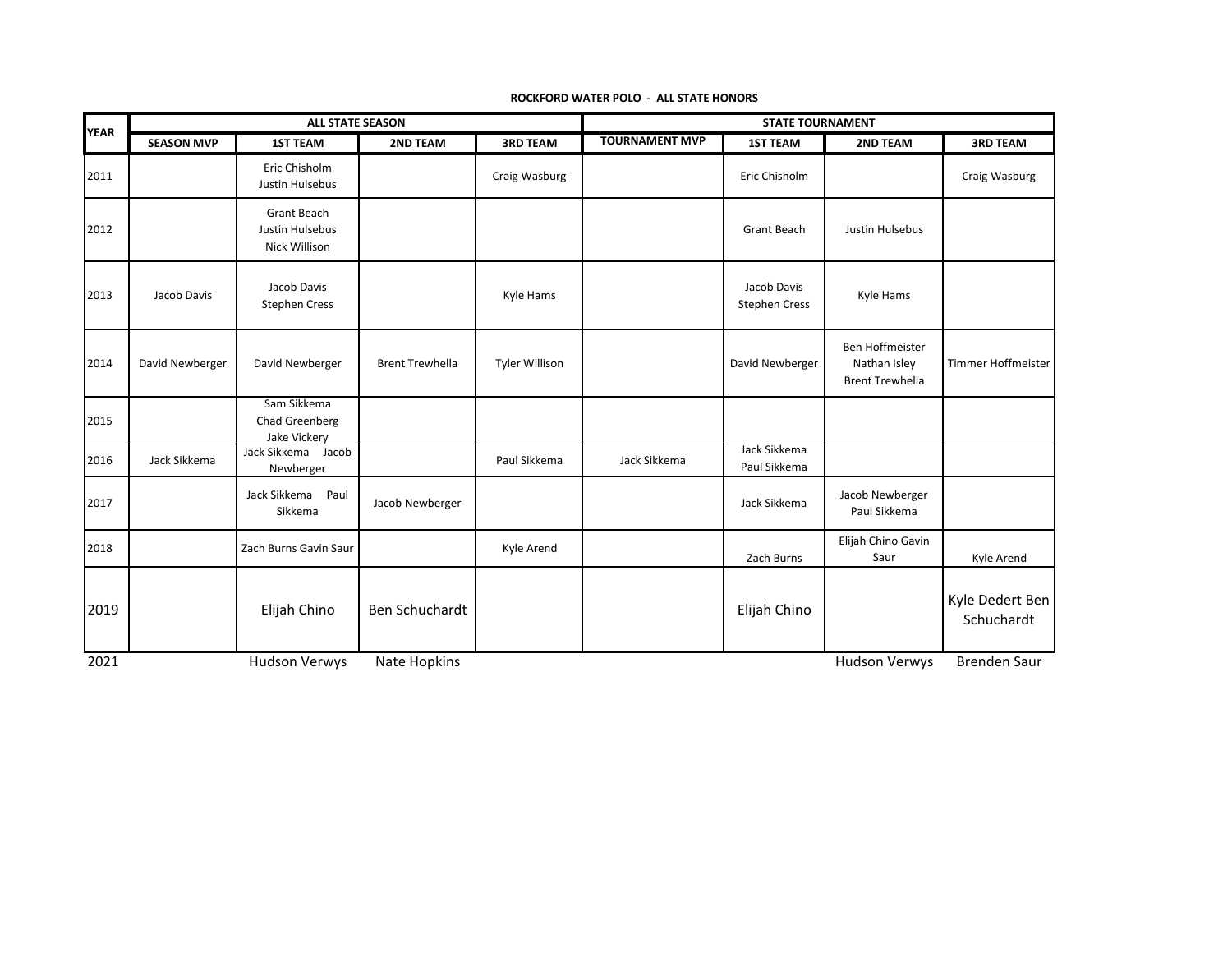| <b>YEAR</b> | <b>ALL STATE SEASON</b> |                                                 |                        | <b>STATE TOURNAMENT</b> |                       |                                     |                                                                  |                               |
|-------------|-------------------------|-------------------------------------------------|------------------------|-------------------------|-----------------------|-------------------------------------|------------------------------------------------------------------|-------------------------------|
|             | <b>SEASON MVP</b>       | <b>1ST TEAM</b>                                 | 2ND TEAM               | <b>3RD TEAM</b>         | <b>TOURNAMENT MVP</b> | <b>1ST TEAM</b>                     | 2ND TEAM                                                         | <b>3RD TEAM</b>               |
| 2011        |                         | Eric Chisholm<br>Justin Hulsebus                |                        | Craig Wasburg           |                       | Eric Chisholm                       |                                                                  | Craig Wasburg                 |
| 2012        |                         | Grant Beach<br>Justin Hulsebus<br>Nick Willison |                        |                         |                       | <b>Grant Beach</b>                  | Justin Hulsebus                                                  |                               |
| 2013        | Jacob Davis             | Jacob Davis<br><b>Stephen Cress</b>             |                        | Kyle Hams               |                       | Jacob Davis<br><b>Stephen Cress</b> | Kyle Hams                                                        |                               |
| 2014        | David Newberger         | David Newberger                                 | <b>Brent Trewhella</b> | <b>Tyler Willison</b>   |                       | David Newberger                     | <b>Ben Hoffmeister</b><br>Nathan Isley<br><b>Brent Trewhella</b> | Timmer Hoffmeister            |
| 2015        |                         | Sam Sikkema<br>Chad Greenberg<br>Jake Vickery   |                        |                         |                       |                                     |                                                                  |                               |
| 2016        | Jack Sikkema            | Jack Sikkema Jacob<br>Newberger                 |                        | Paul Sikkema            | Jack Sikkema          | Jack Sikkema<br>Paul Sikkema        |                                                                  |                               |
| 2017        |                         | Jack Sikkema<br>Paul<br>Sikkema                 | Jacob Newberger        |                         |                       | Jack Sikkema                        | Jacob Newberger<br>Paul Sikkema                                  |                               |
| 2018        |                         | Zach Burns Gavin Saur                           |                        | Kyle Arend              |                       | Zach Burns                          | Elijah Chino Gavin<br>Saur                                       | Kyle Arend                    |
| 2019        |                         | Elijah Chino                                    | Ben Schuchardt         |                         |                       | Elijah Chino                        |                                                                  | Kyle Dedert Ben<br>Schuchardt |
| 2021        |                         | Hudson Verwys                                   | Nate Hopkins           |                         |                       |                                     | <b>Hudson Verwys</b>                                             | <b>Brenden Saur</b>           |

**ROCKFORD WATER POLO - ALL STATE HONORS**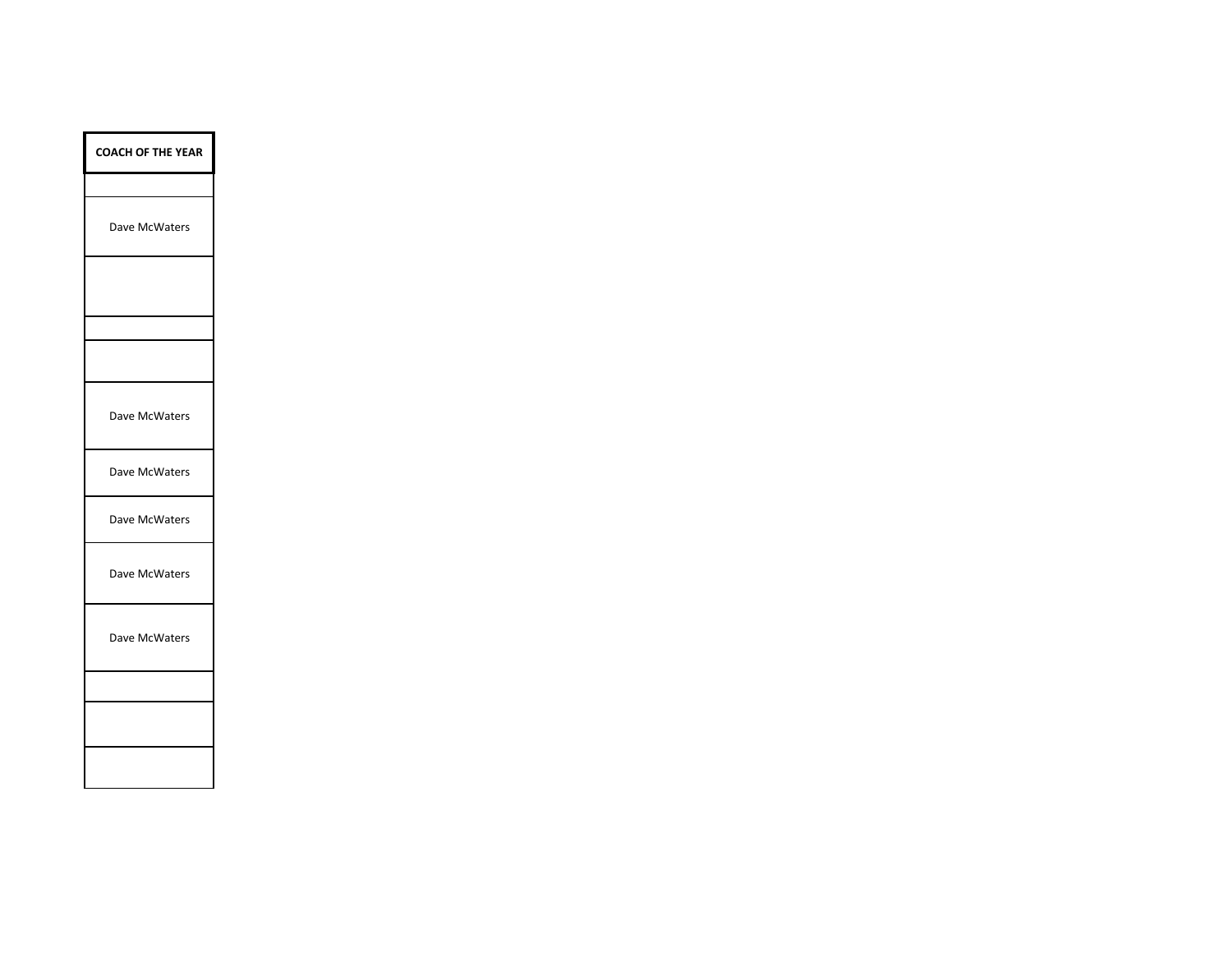| <b>COACH OF THE YEAR</b> |
|--------------------------|
|                          |
| Dave McWaters            |
|                          |
|                          |
|                          |
| Dave McWaters            |
| Dave McWaters            |
| Dave McWaters            |
| Dave McWaters            |
| Dave McWaters            |
|                          |
|                          |
|                          |